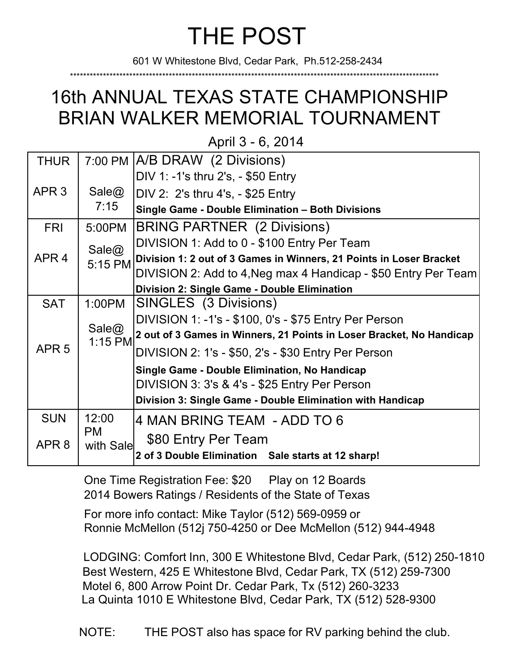## THE POST

601 W Whitestone Blvd, Cedar Park, Ph.512-258-2434

\*\*\*\*\*\*\*\*\*\*\*\*\*\*\*\*\*\*\*\*\*\*\*\*\*\*\*\*\*\*\*\*\*\*\*\*\*\*\*\*\*\*\*\*\*\*\*\*\*\*\*\*\*\*\*\*\*\*\*\*\*\*\*\*\*\*\*\*\*\*\*\*\*\*\*\*\*\*\*\*\*\*\*\*\*\*\*\*\*\*\*\*\*\*\*\*\*\*\*\*\*\*\*\*\*\*\*\*\*\*\*\*

## 16th ANNUAL TEXAS STATE CHAMPIONSHIP BRIAN WALKER MEMORIAL TOURNAMENT

April 3 - 6, 2014

| <b>THUR</b>                                   |                        | 7:00 PM A/B DRAW (2 Divisions)                                       |
|-----------------------------------------------|------------------------|----------------------------------------------------------------------|
|                                               |                        | DIV 1: -1's thru 2's, - \$50 Entry                                   |
| APR <sub>3</sub>                              | Sale@<br>7:15          | DIV 2: 2's thru 4's, - \$25 Entry                                    |
|                                               |                        | Single Game - Double Elimination - Both Divisions                    |
| <b>FRI</b>                                    | 5:00PM                 | <b>BRING PARTNER (2 Divisions)</b>                                   |
| APR <sub>4</sub>                              | Sale $@$<br>5:15 PM    | DIVISION 1: Add to 0 - \$100 Entry Per Team                          |
|                                               |                        | Division 1: 2 out of 3 Games in Winners, 21 Points in Loser Bracket  |
|                                               |                        | DIVISION 2: Add to 4, Neg max 4 Handicap - \$50 Entry Per Team       |
|                                               |                        | <b>Division 2: Single Game - Double Elimination</b>                  |
| <b>SAT</b>                                    | 1:00PM                 | SINGLES (3 Divisions)                                                |
| APR <sub>5</sub>                              | Sale@<br>1:15 PM       | DIVISION 1: -1's - \$100, 0's - \$75 Entry Per Person                |
|                                               |                        | 2 out of 3 Games in Winners, 21 Points in Loser Bracket, No Handicap |
|                                               |                        | DIVISION 2: 1's - \$50, 2's - \$30 Entry Per Person                  |
| Single Game - Double Elimination, No Handicap |                        |                                                                      |
|                                               |                        | DIVISION 3: 3's & 4's - \$25 Entry Per Person                        |
|                                               |                        | Division 3: Single Game - Double Elimination with Handicap           |
| <b>SUN</b>                                    | 12:00                  | 4 MAN BRING TEAM - ADD TO 6                                          |
| APR <sub>8</sub>                              | <b>PM</b><br>with Sale | \$80 Entry Per Team                                                  |
|                                               |                        | 2 of 3 Double Elimination Sale starts at 12 sharp!                   |

One Time Registration Fee: \$20 Play on 12 Boards 2014 Bowers Ratings / Residents of the State of Texas

For more info contact: Mike Taylor (512) 569-0959 or Ronnie McMellon (512j 750-4250 or Dee McMellon (512) 944-4948

LODGING: Comfort Inn, 300 E Whitestone Blvd, Cedar Park, (512) 250-1810 Best Western, 425 E Whitestone Blvd, Cedar Park, TX (512) 259-7300 Motel 6, 800 Arrow Point Dr. Cedar Park, Tx (512) 260-3233 La Quinta 1010 E Whitestone Blvd, Cedar Park, TX (512) 528-9300

NOTE: THE POST also has space for RV parking behind the club.